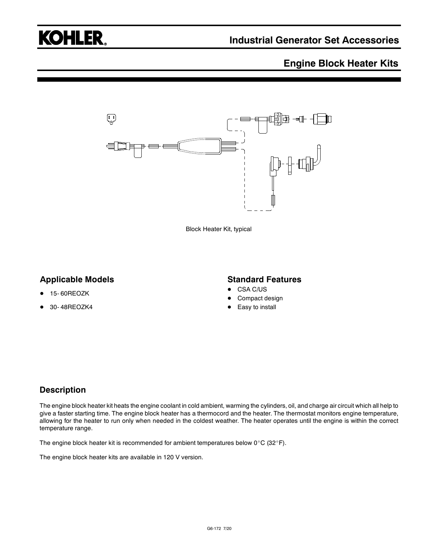## **KOHLER**

### **Engine Block Heater Kits**



Block Heater Kit, typical

#### **Applicable Models**

- **•** 15-60REOZK
- 30-48REOZK4

#### **Standard Features**

- CSA C/US
- Compact design
- Easy to install

#### **Description**

The engine block heater kit heats the engine coolant in cold ambient, warming the cylinders, oil, and charge air circuit which all help to give a faster starting time. The engine block heater has a thermocord and the heater. The thermostat monitors engine temperature, allowing for the heater to run only when needed in the coldest weather. The heater operates until the engine is within the correct temperature range.

The engine block heater kit is recommended for ambient temperatures below  $0^{\circ}$ C (32 $^{\circ}$ F).

The engine block heater kits are available in 120 V version.